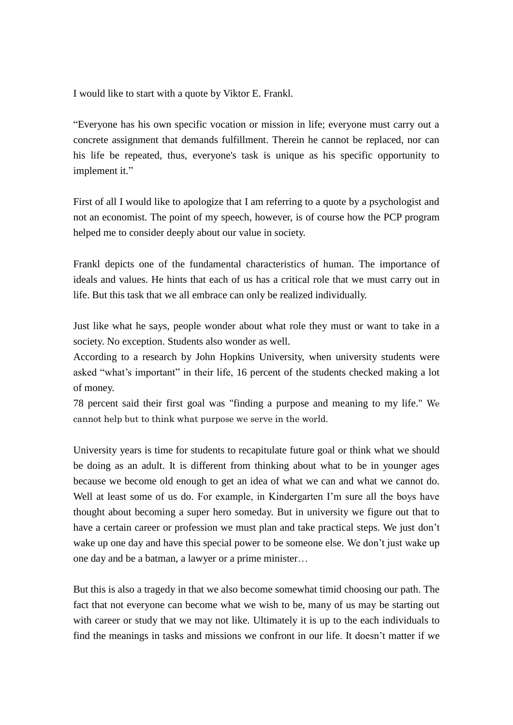I would like to start with a quote by Viktor E. Frankl.

"Everyone has his own specific vocation or mission in life; everyone must carry out a concrete assignment that demands fulfillment. Therein he cannot be replaced, nor can his life be repeated, thus, everyone's task is unique as his specific opportunity to implement it."

First of all I would like to apologize that I am referring to a quote by a psychologist and not an economist. The point of my speech, however, is of course how the PCP program helped me to consider deeply about our value in society.

Frankl depicts one of the fundamental characteristics of human. The importance of ideals and values. He hints that each of us has a critical role that we must carry out in life. But this task that we all embrace can only be realized individually.

Just like what he says, people wonder about what role they must or want to take in a society. No exception. Students also wonder as well.

According to a research by John Hopkins University, when university students were asked "what's important" in their life, 16 percent of the students checked making a lot of money.

78 percent said their first goal was "finding a purpose and meaning to my life." We cannot help but to think what purpose we serve in the world.

University years is time for students to recapitulate future goal or think what we should be doing as an adult. It is different from thinking about what to be in younger ages because we become old enough to get an idea of what we can and what we cannot do. Well at least some of us do. For example, in Kindergarten I'm sure all the boys have thought about becoming a super hero someday. But in university we figure out that to have a certain career or profession we must plan and take practical steps. We just don't wake up one day and have this special power to be someone else. We don't just wake up one day and be a batman, a lawyer or a prime minister…

But this is also a tragedy in that we also become somewhat timid choosing our path. The fact that not everyone can become what we wish to be, many of us may be starting out with career or study that we may not like. Ultimately it is up to the each individuals to find the meanings in tasks and missions we confront in our life. It doesn't matter if we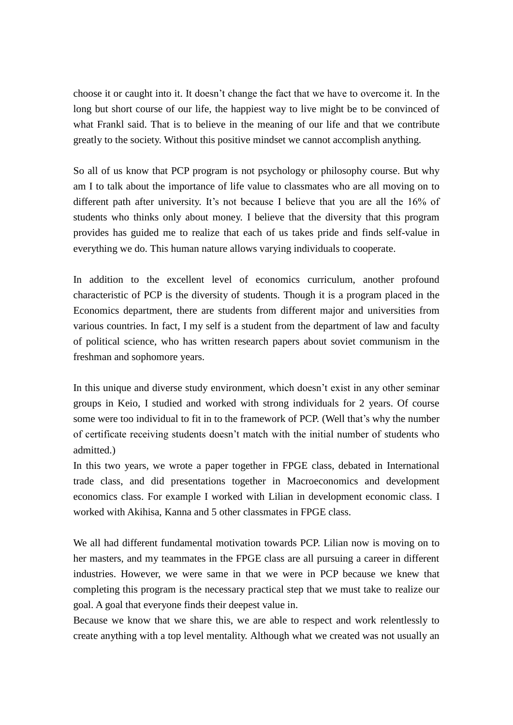choose it or caught into it. It doesn't change the fact that we have to overcome it. In the long but short course of our life, the happiest way to live might be to be convinced of what Frankl said. That is to believe in the meaning of our life and that we contribute greatly to the society. Without this positive mindset we cannot accomplish anything.

So all of us know that PCP program is not psychology or philosophy course. But why am I to talk about the importance of life value to classmates who are all moving on to different path after university. It's not because I believe that you are all the 16% of students who thinks only about money. I believe that the diversity that this program provides has guided me to realize that each of us takes pride and finds self-value in everything we do. This human nature allows varying individuals to cooperate.

In addition to the excellent level of economics curriculum, another profound characteristic of PCP is the diversity of students. Though it is a program placed in the Economics department, there are students from different major and universities from various countries. In fact, I my self is a student from the department of law and faculty of political science, who has written research papers about soviet communism in the freshman and sophomore years.

In this unique and diverse study environment, which doesn't exist in any other seminar groups in Keio, I studied and worked with strong individuals for 2 years. Of course some were too individual to fit in to the framework of PCP. (Well that's why the number of certificate receiving students doesn't match with the initial number of students who admitted.)

In this two years, we wrote a paper together in FPGE class, debated in International trade class, and did presentations together in Macroeconomics and development economics class. For example I worked with Lilian in development economic class. I worked with Akihisa, Kanna and 5 other classmates in FPGE class.

We all had different fundamental motivation towards PCP. Lilian now is moving on to her masters, and my teammates in the FPGE class are all pursuing a career in different industries. However, we were same in that we were in PCP because we knew that completing this program is the necessary practical step that we must take to realize our goal. A goal that everyone finds their deepest value in.

Because we know that we share this, we are able to respect and work relentlessly to create anything with a top level mentality. Although what we created was not usually an